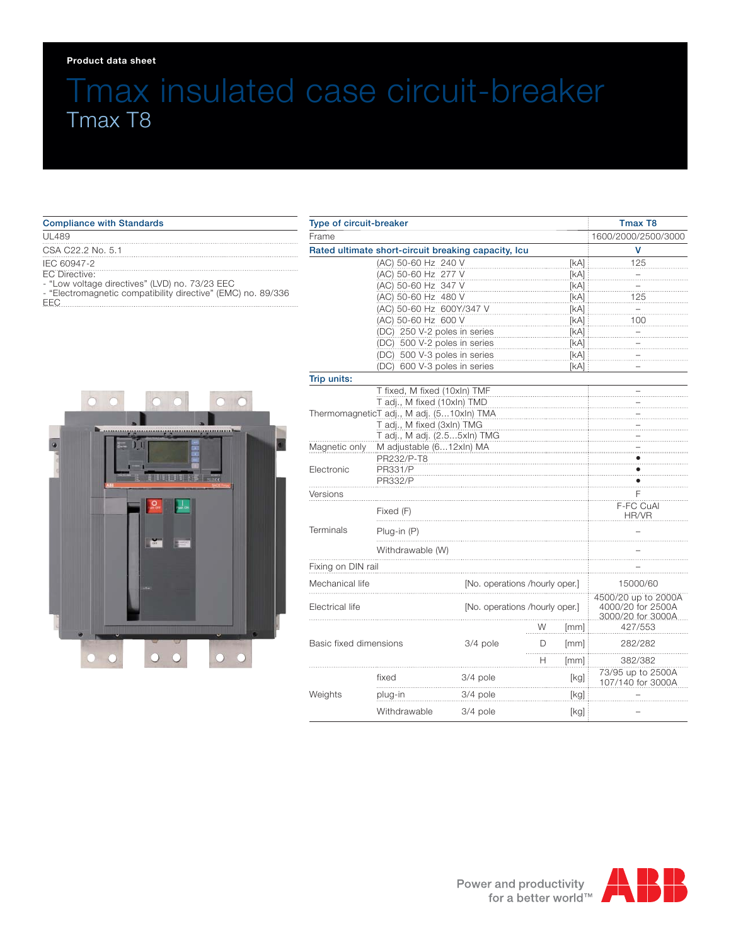#### **Product data sheet**

# Tmax insulated case circuit-breaker Tmax T8

| <b>Compliance with Standards</b>                                                                               |
|----------------------------------------------------------------------------------------------------------------|
| <b>UL489</b>                                                                                                   |
| CSA C22.2 No. 5.1                                                                                              |
| IEC 60947-2<br>EC Directive:                                                                                   |
| - "Low voltage directives" (LVD) no. 73/23 EEC<br>- "Electromagnetic compatibility directive" (EMC) no. 89/336 |
|                                                                                                                |



| Type of circuit-breaker<br>Frame<br>Rated ultimate short-circuit breaking capacity, Icu |                                      |                                |   |                                                               | <b>Tmax T8</b>                         |
|-----------------------------------------------------------------------------------------|--------------------------------------|--------------------------------|---|---------------------------------------------------------------|----------------------------------------|
|                                                                                         |                                      |                                |   |                                                               | 1600/2000/2500/3000                    |
|                                                                                         |                                      |                                |   |                                                               | v                                      |
|                                                                                         | (AC) 50-60 Hz 240 V                  |                                |   | [KA]                                                          | 125                                    |
|                                                                                         | (AC) 50-60 Hz 277 V                  |                                |   | [kA]                                                          |                                        |
|                                                                                         | (AC) 50-60 Hz 347 V<br>[KA]          |                                |   |                                                               |                                        |
|                                                                                         | (AC) 50-60 Hz 480 V<br>[kA]          |                                |   |                                                               | 125                                    |
|                                                                                         | (AC) 50-60 Hz 600Y/347 V<br>[kA]     |                                |   |                                                               |                                        |
|                                                                                         | (AC) 50-60 Hz 600 V<br>[KA]          |                                |   | 100                                                           |                                        |
|                                                                                         | (DC) 250 V-2 poles in series<br>[kA] |                                |   |                                                               |                                        |
|                                                                                         | (DC) 500 V-2 poles in series<br>[kA] |                                |   |                                                               |                                        |
|                                                                                         | (DC) 500 V-3 poles in series<br>[KA] |                                |   |                                                               |                                        |
|                                                                                         | (DC) 600 V-3 poles in series         |                                |   | [kA]                                                          |                                        |
| Trip units:                                                                             |                                      |                                |   |                                                               |                                        |
|                                                                                         | T fixed, M fixed (10xln) TMF         |                                |   |                                                               |                                        |
|                                                                                         | T adj., M fixed (10xln) TMD          |                                |   |                                                               |                                        |
| ThermomagneticT adj., M adj. (510xln) TMA                                               |                                      |                                |   |                                                               |                                        |
| T adj., M fixed (3xln) TMG                                                              |                                      |                                |   |                                                               |                                        |
|                                                                                         | T adj., M adj. (2.55xln) TMG         |                                |   |                                                               |                                        |
| Magnetic only                                                                           | M adjustable (612xln) MA             |                                |   |                                                               |                                        |
|                                                                                         | PR232/P-T8                           |                                |   |                                                               |                                        |
| Electronic                                                                              | <b>PR331/P</b>                       |                                |   |                                                               |                                        |
|                                                                                         | PR332/P                              |                                |   |                                                               |                                        |
| Versions                                                                                |                                      |                                |   |                                                               | F                                      |
|                                                                                         | Fixed (F)                            |                                |   | <b>F-FC CuAl</b><br>HR/VR                                     |                                        |
| Terminals                                                                               | $Plug-in(P)$                         |                                |   |                                                               |                                        |
|                                                                                         | Withdrawable (W)                     |                                |   |                                                               |                                        |
| Fixing on DIN rail                                                                      |                                      |                                |   |                                                               |                                        |
| Mechanical life                                                                         | [No. operations /hourly oper.]       |                                |   | 15000/60                                                      |                                        |
| Electrical life                                                                         |                                      | [No. operations /hourly oper.] |   | 4500/20 up to 2000A<br>4000/20 for 2500A<br>3000/20 for 3000A |                                        |
|                                                                                         |                                      |                                | W | [mm]                                                          | 427/553                                |
| Basic fixed dimensions                                                                  |                                      | 3/4 pole                       | D | [mm]                                                          | 282/282                                |
|                                                                                         |                                      |                                | н | [mm]                                                          | 382/382                                |
| Weights                                                                                 | fixed                                | 3/4 pole                       |   | [kg]                                                          | 73/95 up to 2500A<br>107/140 for 3000A |
|                                                                                         | plug-in                              | 3/4 pole                       |   | [kg]                                                          |                                        |
|                                                                                         | Withdrawable                         | 3/4 pole                       |   | [kg]                                                          |                                        |

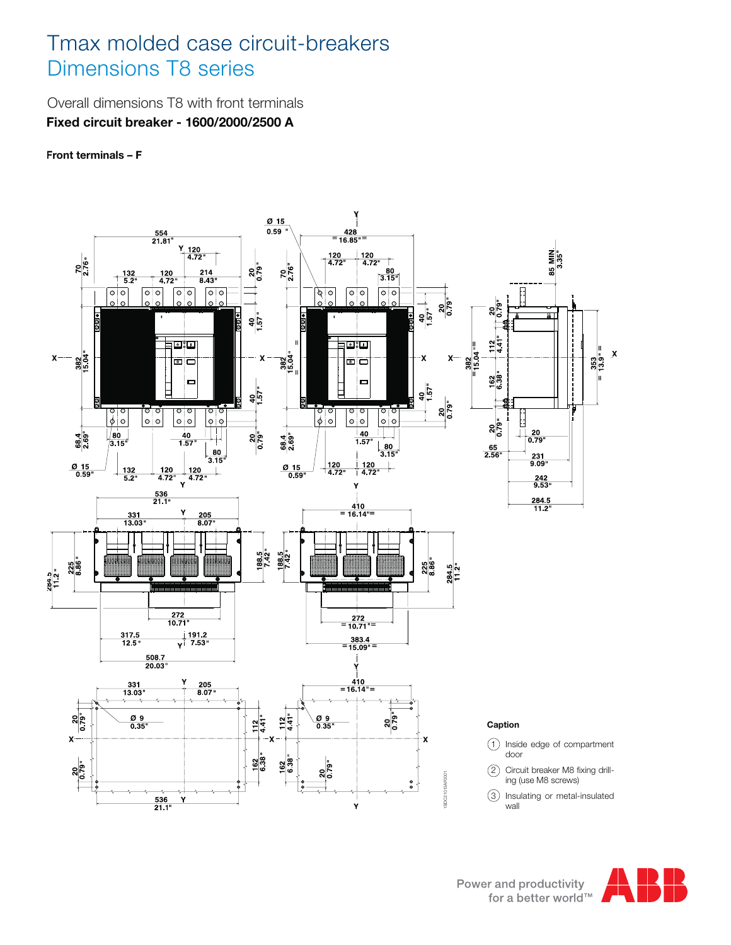### Tmax molded case circuit-breakers Dimensions T8 series

Overall dimensions T8 with front terminals **Fixed circuit breaker - 1600/2000/2500 A**

**Front terminals – F**



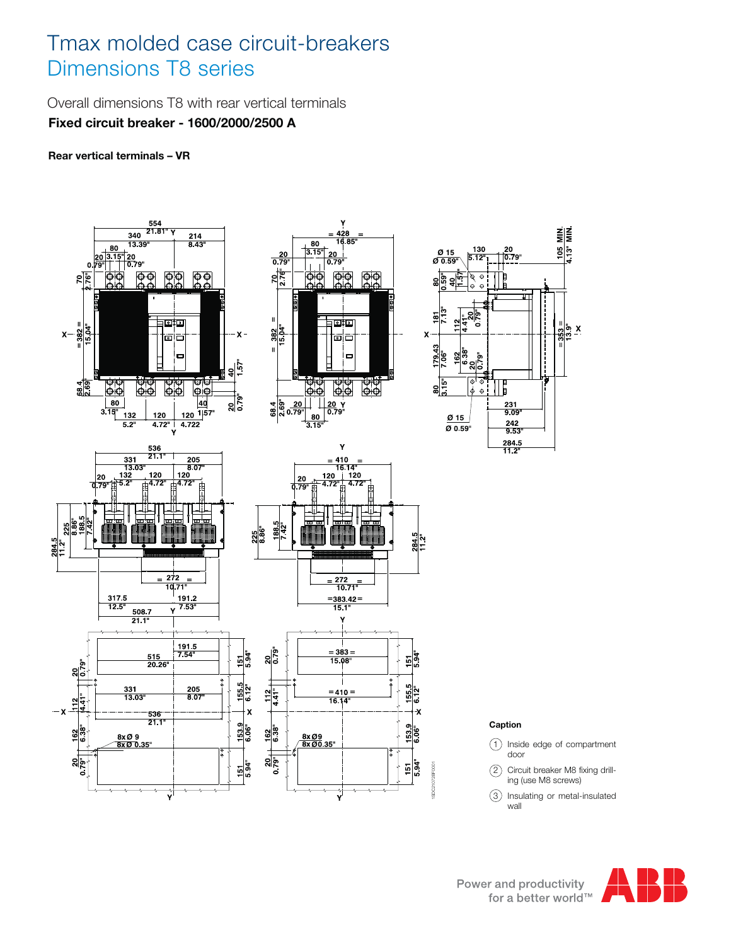### Tmax molded case circuit-breakers Dimensions T8 series

Overall dimensions T8 with rear vertical terminals **Fixed circuit breaker - 1600/2000/2500 A**

**Rear vertical terminals – VR**



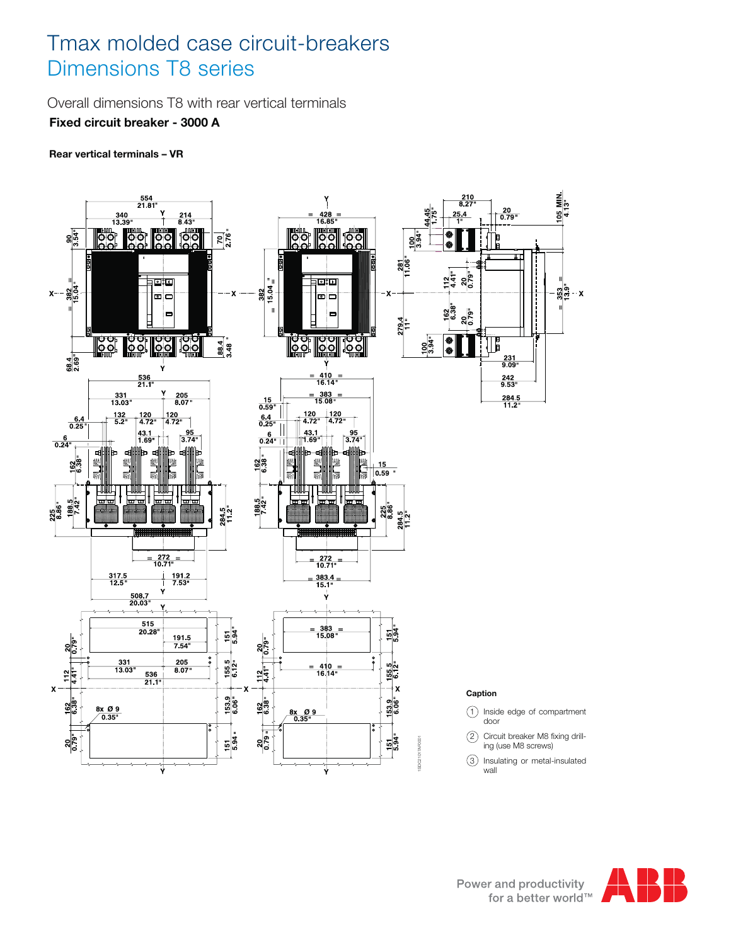## Tmax molded case circuit-breakers Dimensions T8 series

Overall dimensions T8 with rear vertical terminals

**Fixed circuit breaker - 3000 A**

**Rear vertical terminals – VR**